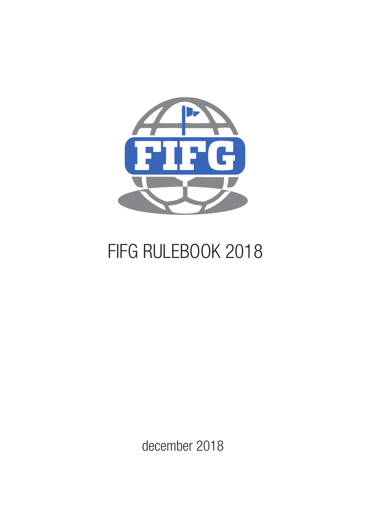

# FIFG RULEBOOK 2018

december 2018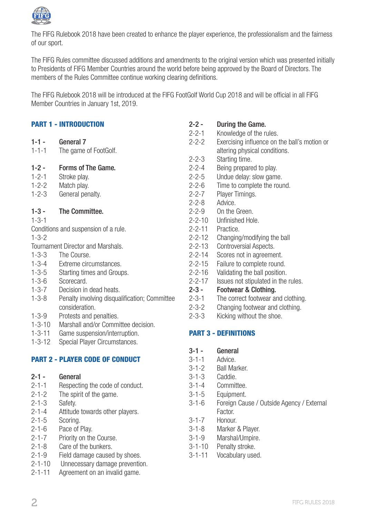

The FIFG Rulebook 2018 have been created to enhance the player experience, the professionalism and the fairness of our sport.

The FIFG Rules committee discussed additions and amendments to the original version which was presented initially to Presidents of FIFG Member Countries around the world before being approved by the Board of Directors. The members of the Rules Committee continue working clearing definitions.

The FIFG Rulebook 2018 will be introduced at the FIFG FootGolf World Cup 2018 and will be official in all FIFG Member Countries in January 1st, 2019.

|              | <b>PART 1 - INTRODUCTION</b>                  | $2 - 2 -$    | During the                 |
|--------------|-----------------------------------------------|--------------|----------------------------|
|              |                                               | $2 - 2 - 1$  | Knowledge o                |
| $1 - 1 -$    | General 7                                     | $2 - 2 - 2$  | Exercising in              |
| $1 - 1 - 1$  | The game of FootGolf.                         |              | altering phys              |
|              |                                               | $2 - 2 - 3$  | Starting time              |
| $1 - 2 -$    | Forms of The Game.                            | $2 - 2 - 4$  | Being prepar               |
| $1 - 2 - 1$  | Stroke play.                                  | $2 - 2 - 5$  | Undue delay                |
| $1 - 2 - 2$  | Match play.                                   | $2 - 2 - 6$  | Time to com                |
| $1 - 2 - 3$  | General penalty.                              | $2 - 2 - 7$  | Player Timin               |
|              |                                               | $2 - 2 - 8$  | Advice.                    |
| $1 - 3 -$    | The Committee.                                | $2 - 2 - 9$  | On the Greer               |
| $1 - 3 - 1$  |                                               | $2 - 2 - 10$ | Unfinished H               |
|              | Conditions and suspension of a rule.          | $2 - 2 - 11$ | Practice.                  |
| $1 - 3 - 2$  |                                               | $2 - 2 - 12$ | Changing/m                 |
|              | Tournament Director and Marshals.             | $2 - 2 - 13$ | Controversia               |
| $1 - 3 - 3$  | The Course.                                   | $2 - 2 - 14$ | Scores not in              |
| $1 - 3 - 4$  | Extreme circumstances.                        | $2 - 2 - 15$ | Failure to co              |
| $1 - 3 - 5$  | Starting times and Groups.                    | $2 - 2 - 16$ | Validating th              |
| $1 - 3 - 6$  | Scorecard.                                    | $2 - 2 - 17$ | Issues not st              |
| $1 - 3 - 7$  | Decision in dead heats.                       | $2 - 3 -$    | Footwear &                 |
| $1 - 3 - 8$  | Penalty involving disqualification; Committee | $2 - 3 - 1$  | The correct t              |
|              | consideration.                                | $2 - 3 - 2$  | Changing for               |
| $1 - 3 - 9$  | Protests and penalties.                       | $2 - 3 - 3$  | Kicking with               |
| $1 - 3 - 10$ | Marshall and/or Committee decision.           |              |                            |
| $1 - 3 - 11$ | Game suspension/interruption.                 |              | <b>PART 3 - DEFINITION</b> |
| $1 - 3 - 12$ | Special Player Circumstances.                 |              |                            |
|              |                                               | $3 - 1 -$    | General                    |
|              | <b>PART 2 - PLAYER CODE OF CONDUCT</b>        | $3 - 1 - 1$  | Advice.                    |
|              |                                               | $3 - 1 - 2$  | Ball Marker.               |
| $2 - 1 -$    | General                                       | $3 - 1 - 3$  | Caddie.                    |
| $2 - 1 - 1$  | Respecting the code of conduct.               | $3 - 1 - 4$  | Committee.                 |
| $2 - 1 - 2$  | The spirit of the game.                       | $3 - 1 - 5$  | Equipment.                 |
| $2 - 1 - 3$  | Safety.                                       | $3 - 1 - 6$  | Foreign Caus               |
| $2 - 1 - 4$  | Attitude towards other players.               |              | Factor.                    |

- 2-1-5 Scoring.
- 2-1-6 Pace of Play.
- 2-1-7 Priority on the Course.<br>2-1-8 Care of the bunkers.
- Care of the bunkers.
- 2-1-9 Field damage caused by shoes.
- 2-1-10 Unnecessary damage prevention.
- 2-1-11 Agreement on an invalid game.

| $2 - 2 -$    | During the Game.                             |
|--------------|----------------------------------------------|
| $2 - 2 - 1$  | Knowledge of the rules.                      |
| $2 - 2 - 2$  | Exercising influence on the ball's motion or |
|              | altering physical conditions.                |
| $2 - 2 - 3$  | Starting time.                               |
| $2 - 2 - 4$  | Being prepared to play.                      |
| $2 - 2 - 5$  | Undue delay: slow game.                      |
| $2 - 2 - 6$  | Time to complete the round.                  |
| $2 - 2 - 7$  | Player Timings.                              |
| $2 - 2 - 8$  | Advice.                                      |
| 2-2-9        | On the Green.                                |
| 2-2-10       | Unfinished Hole.                             |
| 2-2-11       | Practice.                                    |
| $2 - 2 - 12$ | Changing/modifying the ball                  |
| $2 - 2 - 13$ | Controversial Aspects.                       |
| $2 - 2 - 14$ | Scores not in agreement.                     |
| $2 - 2 - 15$ | Failure to complete round.                   |
| $2 - 2 - 16$ | Validating the ball position.                |
| $2 - 2 - 17$ | Issues not stipulated in the rules.          |
| 2-3 -        | Footwear & Clothing.                         |
| 2-3-1        | The correct footwear and clothing.           |
| $2 - 3 - 2$  | Changing footwear and clothing.              |

inut the shoe.

## PART 3 - DEFINITIONS

- 
- Ise / Outside Agency / External
- 3-1-7 Honour.
- 3-1-8 Marker & Player.
- 3-1-9 Marshal/Umpire.
- 3-1-10 Penalty stroke.
- 3-1-11 Vocabulary used.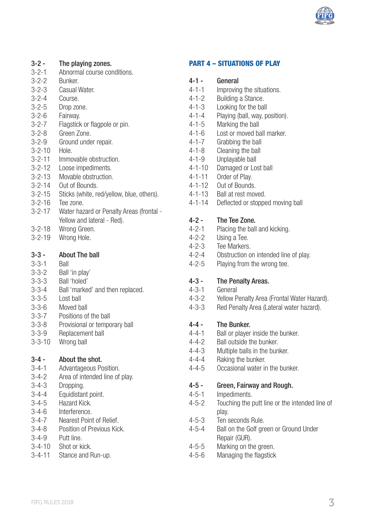

## **3-2 - The playing zones.**<br>3-2-1 Abnormal course cor

- 3-2-1 Abnormal course conditions.<br>3-2-2 Bunker
- 3-2-2 Bunker.<br>3-2-3 Casual
- 3-2-3 Casual Water.<br>3-2-4 Course.
- 3-2-4 Course.<br>3-2-5 Dron zor
- Drop zone.
- 3-2-6 Fairway.<br>3-2-7 Flagstick
- Flagstick or flagpole or pin.
- 3-2-8 Green Zone.<br>3-2-9 Ground under
- Ground under repair.
- 3-2-10 Hole.<br>3-2-11 Immo
- Immovable obstruction
- 3-2-12 Loose impediments.<br>3-2-13 Movable obstruction
- Movable obstruction
- 3-2-14 Out of Bounds.
- 3-2-15 Sticks (white, red/yellow, blue, others).<br>3-2-16 Tee zone
- 3-2-16 Tee zone.<br>3-2-17 Water haz
- 3-2-17 Water hazard or Penalty Areas (frontal Yellow and lateral - Red).
- 3-2-18 Wrong Green.
- 3-2-19 Wrong Hole.

## 3-3 - About The ball

- 3-3-1 Ball
- 3-3-2 Ball 'in play'
- 3-3-3 Ball 'holed'
- Ball 'marked' and then replaced.
- $3-3-5$  Lost ball
- 3-3-6 Moved ball
- 3-3-7 Positions of the ball
- 3-3-8 Provisional or temporary ball
- 3-3-9 Replacement ball
- 3-3-10 Wrong ball

 $3-4 -$  About the shot.<br> $3-4-1$  Advantageous Po

- Advantageous Position.
- 3-4-2 Area of intended line of play.
- 3-4-3 Dropping.<br>3-4-4 Foundistan
- Equidistant point.
- 3-4-5 Hazard Kick.
- 3-4-6 Interference.
- 3-4-7 Nearest Point of Relief.
- 3-4-8 Position of Previous Kick.
- 3-4-9 Putt line.<br>3-4-10 Shot or k
- Shot or kick.
- 3-4-11 Stance and Run-up.

#### PART 4 – SITUATIONS OF PLAY

## $4-1$  - General<br> $4-1-1$  Improving

- 4-1-1 Improving the situations.<br>4-1-2 Building a Stance.
- 4-1-2 Building a Stance.<br>4-1-3 Looking for the hal
- Looking for the ball
- 4-1-4 Playing (ball, way, position).<br>4-1-5 Marking the ball
- $4-1-5$  Marking the ball<br> $4-1-6$  Lost or moved by
- 4-1-6 Lost or moved ball marker.<br> $4-1-7$  Grabbing the ball
- **Grabbing the ball**
- 4-1-8 Cleaning the ball<br>4-1-9 Linnlayable ball
- Unplayable ball
- 4-1-10 Damaged or Lost ball<br>4-1-11 Order of Play
- Order of Play.
- $4-1-12$  Out of Bounds.<br> $4-1-13$  Ball at rest mov
- 4-1-13 Ball at rest moved.<br>4-1-14 Deflected or stoppe
- Deflected or stopped moving ball

## $4-2$  - The Tee Zone.

- 4-2-1 Placing the ball and kicking.<br>4-2-2 Ilsing a Tee
- $4-2-2$  Using a Tee.<br> $4-2-3$  Tee Markers
- 4-2-3 Tee Markers.<br>4-2-4 Obstruction of
- 4-2-4 Obstruction on intended line of play.<br>4-2-5 Playing from the wrong tee
- Playing from the wrong tee.

## 4-3 - The Penalty Areas.<br>4-3-1 General

- General
- 4-3-2 Yellow Penalty Area (Frontal Water Hazard).
- 4-3-3 Red Penalty Area (Lateral water hazard).

#### 4-4 - The Bunker.

- 4-4-1 Ball or player inside the bunker.<br> $4-4-2$  Ball outside the bunker
- Ball outside the bunker.
- 4-4-3 Multiple balls in the bunker.
- 4-4-4 Raking the bunker.<br>4-4-5 Occasional water in
- Occasional water in the bunker.

## 4-5 - Green, Fairway and Rough.<br>4-5-1 Impediments

- Impediments.
- 4-5-2 Touching the putt line or the intended line of play.
- 4-5-3 Ten seconds Rule.
- 4-5-4 Ball on the Golf green or Ground Under Repair (GUR).
- 4-5-5 Marking on the green.
- 4-5-6 Managing the flagstick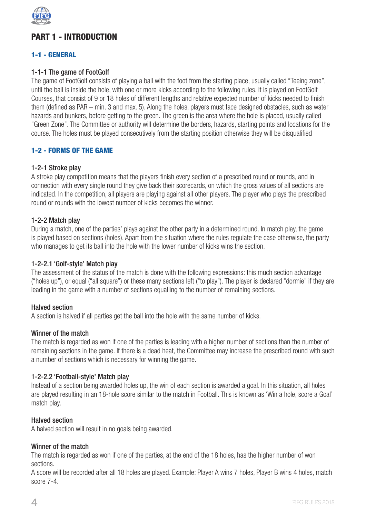

## PART 1 - INTRODUCTION

## 1-1 - GENERAL

### 1-1-1 The game of FootGolf

The game of FootGolf consists of playing a ball with the foot from the starting place, usually called "Teeing zone", until the ball is inside the hole, with one or more kicks according to the following rules. It is played on FootGolf Courses, that consist of 9 or 18 holes of different lengths and relative expected number of kicks needed to finish them (defined as PAR – min. 3 and max. 5). Along the holes, players must face designed obstacles, such as water hazards and bunkers, before getting to the green. The green is the area where the hole is placed, usually called "Green Zone". The Committee or authority will determine the borders, hazards, starting points and locations for the course. The holes must be played consecutively from the starting position otherwise they will be disqualified

## 1-2 - FORMS OF THE GAME

#### 1-2-1 Stroke play

A stroke play competition means that the players finish every section of a prescribed round or rounds, and in connection with every single round they give back their scorecards, on which the gross values of all sections are indicated. In the competition, all players are playing against all other players. The player who plays the prescribed round or rounds with the lowest number of kicks becomes the winner.

#### 1-2-2 Match play

During a match, one of the parties' plays against the other party in a determined round. In match play, the game is played based on sections (holes). Apart from the situation where the rules regulate the case otherwise, the party who manages to get its ball into the hole with the lower number of kicks wins the section.

#### 1-2-2.1 'Golf-style' Match play

The assessment of the status of the match is done with the following expressions: this much section advantage ("holes up"), or equal ("all square") or these many sections left ("to play"). The player is declared "dormie" if they are leading in the game with a number of sections equalling to the number of remaining sections.

#### Halved section

A section is halved if all parties get the ball into the hole with the same number of kicks.

#### Winner of the match

The match is regarded as won if one of the parties is leading with a higher number of sections than the number of remaining sections in the game. If there is a dead heat, the Committee may increase the prescribed round with such a number of sections which is necessary for winning the game.

#### 1-2-2.2 'Football-style' Match play

Instead of a section being awarded holes up, the win of each section is awarded a goal. In this situation, all holes are played resulting in an 18-hole score similar to the match in Football. This is known as 'Win a hole, score a Goal' match play.

#### Halved section

A halved section will result in no goals being awarded.

#### Winner of the match

The match is regarded as won if one of the parties, at the end of the 18 holes, has the higher number of won sections.

A score will be recorded after all 18 holes are played. Example: Player A wins 7 holes, Player B wins 4 holes, match score 7-4.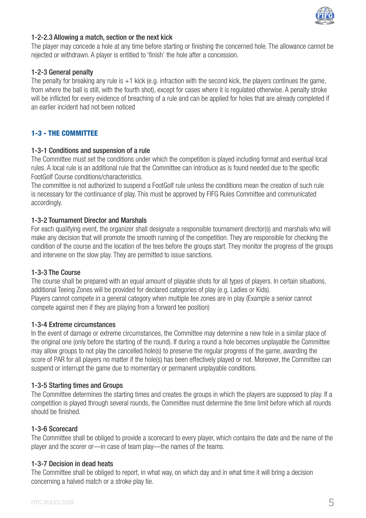

#### 1-2-2.3 Allowing a match, section or the next kick

The player may concede a hole at any time before starting or finishing the concerned hole. The allowance cannot be rejected or withdrawn. A player is entitled to 'finish' the hole after a concession.

#### 1-2-3 General penalty

The penalty for breaking any rule is +1 kick (e.g. infraction with the second kick, the players continues the game, from where the ball is still, with the fourth shot), except for cases where it is regulated otherwise. A penalty stroke will be inflicted for every evidence of breaching of a rule and can be applied for holes that are already completed if an earlier incident had not been noticed

## 1-3 - THE COMMITTEE

#### 1-3-1 Conditions and suspension of a rule

The Committee must set the conditions under which the competition is played including format and eventual local rules. A local rule is an additional rule that the Committee can introduce as is found needed due to the specific FootGolf Course conditions/characteristics.

The committee is not authorized to suspend a FootGolf rule unless the conditions mean the creation of such rule is necessary for the continuance of play. This must be approved by FIFG Rules Committee and communicated accordingly.

#### 1-3-2 Tournament Director and Marshals

For each qualifying event, the organizer shall designate a responsible tournament director(s) and marshals who will make any decision that will promote the smooth running of the competition. They are responsible for checking the condition of the course and the location of the tees before the groups start. They monitor the progress of the groups and intervene on the slow play. They are permitted to issue sanctions.

#### 1-3-3 The Course

The course shall be prepared with an equal amount of playable shots for all types of players. In certain situations, additional Teeing Zones will be provided for declared categories of play (e.g. Ladies or Kids).

Players cannot compete in a general category when multiple tee zones are in play (Example a senior cannot compete against men if they are playing from a forward tee position)

## 1-3-4 Extreme circumstances

In the event of damage or extreme circumstances, the Committee may determine a new hole in a similar place of the original one (only before the starting of the round). If during a round a hole becomes unplayable the Committee may allow groups to not play the cancelled hole(s) to preserve the regular progress of the game, awarding the score of PAR for all players no matter if the hole(s) has been effectively played or not. Moreover, the Committee can suspend or interrupt the game due to momentary or permanent unplayable conditions.

#### 1-3-5 Starting times and Groups

The Committee determines the starting times and creates the groups in which the players are supposed to play. If a competition is played through several rounds, the Committee must determine the time limit before which all rounds should be finished.

#### 1-3-6 Scorecard

The Committee shall be obliged to provide a scorecard to every player, which contains the date and the name of the player and the scorer or—in case of team play—the names of the teams.

#### 1-3-7 Decision in dead heats

The Committee shall be obliged to report, in what way, on which day and in what time it will bring a decision concerning a halved match or a stroke play tie.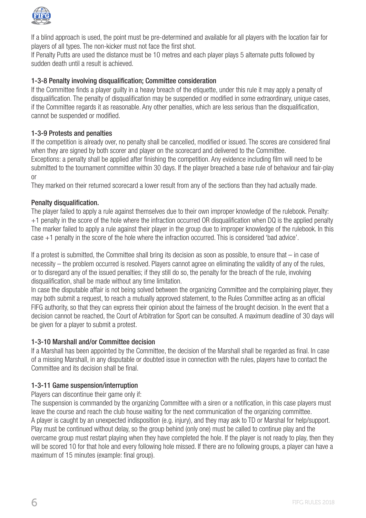

If a blind approach is used, the point must be pre-determined and available for all players with the location fair for players of all types. The non-kicker must not face the first shot.

If Penalty Putts are used the distance must be 10 metres and each player plays 5 alternate putts followed by sudden death until a result is achieved.

## 1-3-8 Penalty involving disqualification; Committee consideration

If the Committee finds a player guilty in a heavy breach of the etiquette, under this rule it may apply a penalty of disqualification. The penalty of disqualification may be suspended or modified in some extraordinary, unique cases, if the Committee regards it as reasonable. Any other penalties, which are less serious than the disqualification, cannot be suspended or modified.

#### 1-3-9 Protests and penalties

If the competition is already over, no penalty shall be cancelled, modified or issued. The scores are considered final when they are signed by both scorer and player on the scorecard and delivered to the Committee. Exceptions: a penalty shall be applied after finishing the competition. Any evidence including film will need to be submitted to the tournament committee within 30 days. If the player breached a base rule of behaviour and fair-play or

They marked on their returned scorecard a lower result from any of the sections than they had actually made.

#### Penalty disqualification.

The player failed to apply a rule against themselves due to their own improper knowledge of the rulebook. Penalty: +1 penalty in the score of the hole where the infraction occurred OR disqualification when DQ is the applied penalty The marker failed to apply a rule against their player in the group due to improper knowledge of the rulebook. In this case +1 penalty in the score of the hole where the infraction occurred. This is considered 'bad advice'.

If a protest is submitted, the Committee shall bring its decision as soon as possible, to ensure that – in case of necessity – the problem occurred is resolved. Players cannot agree on eliminating the validity of any of the rules, or to disregard any of the issued penalties; if they still do so, the penalty for the breach of the rule, involving disqualification, shall be made without any time limitation.

In case the disputable affair is not being solved between the organizing Committee and the complaining player, they may both submit a request, to reach a mutually approved statement, to the Rules Committee acting as an official FIFG authority, so that they can express their opinion about the fairness of the brought decision. In the event that a decision cannot be reached, the Court of Arbitration for Sport can be consulted. A maximum deadline of 30 days will be given for a player to submit a protest.

#### 1-3-10 Marshall and/or Committee decision

If a Marshall has been appointed by the Committee, the decision of the Marshall shall be regarded as final. In case of a missing Marshall, in any disputable or doubted issue in connection with the rules, players have to contact the Committee and its decision shall be final.

#### 1-3-11 Game suspension/interruption

#### Players can discontinue their game only if:

The suspension is commanded by the organizing Committee with a siren or a notification, in this case players must leave the course and reach the club house waiting for the next communication of the organizing committee. A player is caught by an unexpected indisposition (e.g. injury), and they may ask to TD or Marshal for help/support. Play must be continued without delay, so the group behind (only one) must be called to continue play and the overcame group must restart playing when they have completed the hole. If the player is not ready to play, then they will be scored 10 for that hole and every following hole missed. If there are no following groups, a player can have a maximum of 15 minutes (example: final group).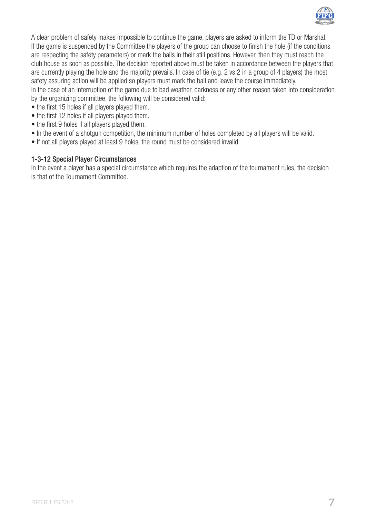

A clear problem of safety makes impossible to continue the game, players are asked to inform the TD or Marshal. If the game is suspended by the Committee the players of the group can choose to finish the hole (if the conditions are respecting the safety parameters) or mark the balls in their still positions. However, then they must reach the club house as soon as possible. The decision reported above must be taken in accordance between the players that are currently playing the hole and the majority prevails. In case of tie (e.g. 2 vs 2 in a group of 4 players) the most safety assuring action will be applied so players must mark the ball and leave the course immediately. In the case of an interruption of the game due to bad weather, darkness or any other reason taken into consideration by the organizing committee, the following will be considered valid:

- the first 15 holes if all players played them.
- the first 12 holes if all players played them.
- the first 9 holes if all players played them.
- In the event of a shotgun competition, the minimum number of holes completed by all players will be valid.
- If not all players played at least 9 holes, the round must be considered invalid.

## 1-3-12 Special Player Circumstances

In the event a player has a special circumstance which requires the adaption of the tournament rules, the decision is that of the Tournament Committee.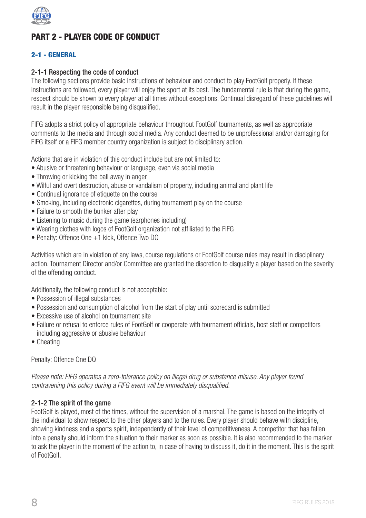

## PART 2 - PLAYER CODE OF CONDUCT

## 2-1 - GENERAL

#### 2-1-1 Respecting the code of conduct

The following sections provide basic instructions of behaviour and conduct to play FootGolf properly. If these instructions are followed, every player will enjoy the sport at its best. The fundamental rule is that during the game, respect should be shown to every player at all times without exceptions. Continual disregard of these guidelines will result in the player responsible being disqualified.

FIFG adopts a strict policy of appropriate behaviour throughout FootGolf tournaments, as well as appropriate comments to the media and through social media. Any conduct deemed to be unprofessional and/or damaging for FIFG itself or a FIFG member country organization is subject to disciplinary action.

Actions that are in violation of this conduct include but are not limited to:

- Abusive or threatening behaviour or language, even via social media
- Throwing or kicking the ball away in anger
- Wilful and overt destruction, abuse or vandalism of property, including animal and plant life
- Continual ignorance of etiquette on the course
- Smoking, including electronic cigarettes, during tournament play on the course
- Failure to smooth the bunker after play
- Listening to music during the game (earphones including)
- Wearing clothes with logos of FootGolf organization not affiliated to the FIFG
- Penalty: Offence One +1 kick, Offence Two DQ

Activities which are in violation of any laws, course regulations or FootGolf course rules may result in disciplinary action. Tournament Director and/or Committee are granted the discretion to disqualify a player based on the severity of the offending conduct.

Additionally, the following conduct is not acceptable:

- Possession of illegal substances
- Possession and consumption of alcohol from the start of play until scorecard is submitted
- Excessive use of alcohol on tournament site
- Failure or refusal to enforce rules of FootGolf or cooperate with tournament officials, host staff or competitors including aggressive or abusive behaviour
- Cheating

Penalty: Offence One DQ

*Please note: FIFG operates a zero-tolerance policy on illegal drug or substance misuse. Any player found contravening this policy during a FIFG event will be immediately disqualified.*

#### 2-1-2 The spirit of the game

FootGolf is played, most of the times, without the supervision of a marshal. The game is based on the integrity of the individual to show respect to the other players and to the rules. Every player should behave with discipline, showing kindness and a sports spirit, independently of their level of competitiveness. A competitor that has fallen into a penalty should inform the situation to their marker as soon as possible. It is also recommended to the marker to ask the player in the moment of the action to, in case of having to discuss it, do it in the moment. This is the spirit of FootGolf.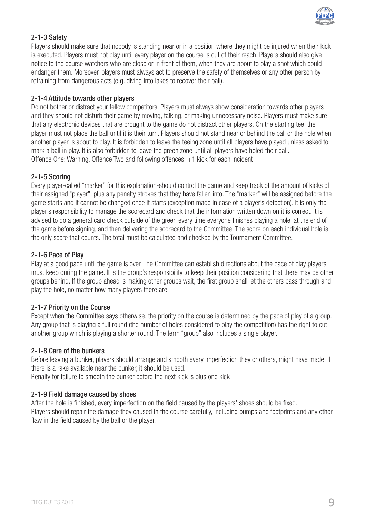

## 2-1-3 Safety

Players should make sure that nobody is standing near or in a position where they might be injured when their kick is executed. Players must not play until every player on the course is out of their reach. Players should also give notice to the course watchers who are close or in front of them, when they are about to play a shot which could endanger them. Moreover, players must always act to preserve the safety of themselves or any other person by refraining from dangerous acts (e.g. diving into lakes to recover their ball).

#### 2-1-4 Attitude towards other players

Do not bother or distract your fellow competitors. Players must always show consideration towards other players and they should not disturb their game by moving, talking, or making unnecessary noise. Players must make sure that any electronic devices that are brought to the game do not distract other players. On the starting tee, the player must not place the ball until it is their turn. Players should not stand near or behind the ball or the hole when another player is about to play. It is forbidden to leave the teeing zone until all players have played unless asked to mark a ball in play. It is also forbidden to leave the green zone until all players have holed their ball. Offence One: Warning, Offence Two and following offences: +1 kick for each incident

## 2-1-5 Scoring

Every player-called "marker" for this explanation-should control the game and keep track of the amount of kicks of their assigned "player", plus any penalty strokes that they have fallen into. The "marker" will be assigned before the game starts and it cannot be changed once it starts (exception made in case of a player's defection). It is only the player's responsibility to manage the scorecard and check that the information written down on it is correct. It is advised to do a general card check outside of the green every time everyone finishes playing a hole, at the end of the game before signing, and then delivering the scorecard to the Committee. The score on each individual hole is the only score that counts. The total must be calculated and checked by the Tournament Committee.

#### 2-1-6 Pace of Play

Play at a good pace until the game is over. The Committee can establish directions about the pace of play players must keep during the game. It is the group's responsibility to keep their position considering that there may be other groups behind. If the group ahead is making other groups wait, the first group shall let the others pass through and play the hole, no matter how many players there are.

#### 2-1-7 Priority on the Course

Except when the Committee says otherwise, the priority on the course is determined by the pace of play of a group. Any group that is playing a full round (the number of holes considered to play the competition) has the right to cut another group which is playing a shorter round. The term "group" also includes a single player.

#### 2-1-8 Care of the bunkers

Before leaving a bunker, players should arrange and smooth every imperfection they or others, might have made. If there is a rake available near the bunker, it should be used.

Penalty for failure to smooth the bunker before the next kick is plus one kick

#### 2-1-9 Field damage caused by shoes

After the hole is finished, every imperfection on the field caused by the players' shoes should be fixed. Players should repair the damage they caused in the course carefully, including bumps and footprints and any other flaw in the field caused by the ball or the player.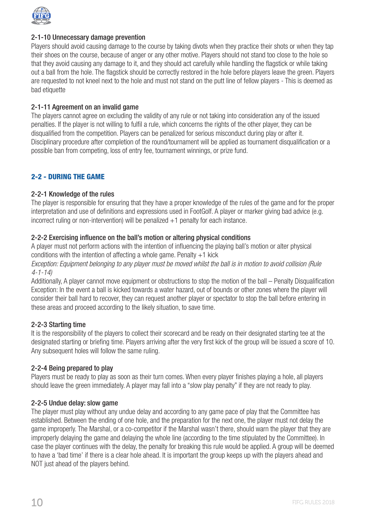

#### 2-1-10 Unnecessary damage prevention

Players should avoid causing damage to the course by taking divots when they practice their shots or when they tap their shoes on the course, because of anger or any other motive. Players should not stand too close to the hole so that they avoid causing any damage to it, and they should act carefully while handling the flagstick or while taking out a ball from the hole. The flagstick should be correctly restored in the hole before players leave the green. Players are requested to not kneel next to the hole and must not stand on the putt line of fellow players - This is deemed as bad etiquette

#### 2-1-11 Agreement on an invalid game

The players cannot agree on excluding the validity of any rule or not taking into consideration any of the issued penalties. If the player is not willing to fulfil a rule, which concerns the rights of the other player, they can be disqualified from the competition. Players can be penalized for serious misconduct during play or after it. Disciplinary procedure after completion of the round/tournament will be applied as tournament disqualification or a possible ban from competing, loss of entry fee, tournament winnings, or prize fund.

## 2-2 - DURING THE GAME

#### 2-2-1 Knowledge of the rules

The player is responsible for ensuring that they have a proper knowledge of the rules of the game and for the proper interpretation and use of definitions and expressions used in FootGolf. A player or marker giving bad advice (e.g. incorrect ruling or non-intervention) will be penalized +1 penalty for each instance.

#### 2-2-2 Exercising influence on the ball's motion or altering physical conditions

A player must not perform actions with the intention of influencing the playing ball's motion or alter physical conditions with the intention of affecting a whole game. Penalty  $+1$  kick

*Exception: Equipment belonging to any player must be moved whilst the ball is in motion to avoid collision (Rule 4-1-14)*

Additionally, A player cannot move equipment or obstructions to stop the motion of the ball – Penalty Disqualification Exception: In the event a ball is kicked towards a water hazard, out of bounds or other zones where the player will consider their ball hard to recover, they can request another player or spectator to stop the ball before entering in these areas and proceed according to the likely situation, to save time.

#### 2-2-3 Starting time

It is the responsibility of the players to collect their scorecard and be ready on their designated starting tee at the designated starting or briefing time. Players arriving after the very first kick of the group will be issued a score of 10. Any subsequent holes will follow the same ruling.

#### 2-2-4 Being prepared to play

Players must be ready to play as soon as their turn comes. When every player finishes playing a hole, all players should leave the green immediately. A player may fall into a "slow play penalty" if they are not ready to play.

#### 2-2-5 Undue delay: slow game

The player must play without any undue delay and according to any game pace of play that the Committee has established. Between the ending of one hole, and the preparation for the next one, the player must not delay the game improperly. The Marshal, or a co-competitor if the Marshal wasn't there, should warn the player that they are improperly delaying the game and delaying the whole line (according to the time stipulated by the Committee). In case the player continues with the delay, the penalty for breaking this rule would be applied. A group will be deemed to have a 'bad time' if there is a clear hole ahead. It is important the group keeps up with the players ahead and NOT just ahead of the players behind.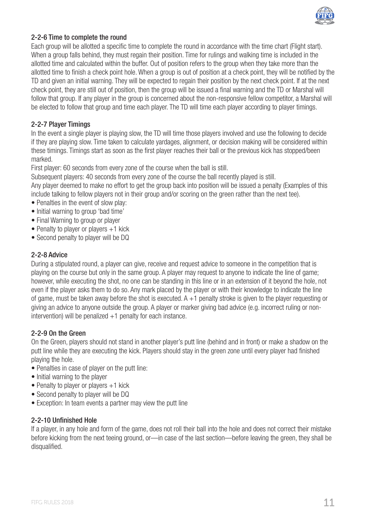

#### 2-2-6 Time to complete the round

Each group will be allotted a specific time to complete the round in accordance with the time chart (Flight start). When a group falls behind, they must regain their position. Time for rulings and walking time is included in the allotted time and calculated within the buffer. Out of position refers to the group when they take more than the allotted time to finish a check point hole. When a group is out of position at a check point, they will be notified by the TD and given an initial warning. They will be expected to regain their position by the next check point. If at the next check point, they are still out of position, then the group will be issued a final warning and the TD or Marshal will follow that group. If any player in the group is concerned about the non-responsive fellow competitor, a Marshal will be elected to follow that group and time each player. The TD will time each player according to player timings.

#### 2-2-7 Player Timings

In the event a single player is playing slow, the TD will time those players involved and use the following to decide if they are playing slow. Time taken to calculate yardages, alignment, or decision making will be considered within these timings. Timings start as soon as the first player reaches their ball or the previous kick has stopped/been marked.

First player: 60 seconds from every zone of the course when the ball is still.

Subsequent players: 40 seconds from every zone of the course the ball recently played is still.

Any player deemed to make no effort to get the group back into position will be issued a penalty (Examples of this include talking to fellow players not in their group and/or scoring on the green rather than the next tee).

- Penalties in the event of slow play:
- Initial warning to group 'bad time'
- Final Warning to group or player
- Penalty to player or players +1 kick
- Second penalty to player will be DQ

### 2-2-8 Advice

During a stipulated round, a player can give, receive and request advice to someone in the competition that is playing on the course but only in the same group. A player may request to anyone to indicate the line of game; however, while executing the shot, no one can be standing in this line or in an extension of it beyond the hole, not even if the player asks them to do so. Any mark placed by the player or with their knowledge to indicate the line of game, must be taken away before the shot is executed. A +1 penalty stroke is given to the player requesting or giving an advice to anyone outside the group. A player or marker giving bad advice (e.g. incorrect ruling or nonintervention) will be penalized  $+1$  penalty for each instance.

#### 2-2-9 On the Green

On the Green, players should not stand in another player's putt line (behind and in front) or make a shadow on the putt line while they are executing the kick. Players should stay in the green zone until every player had finished playing the hole.

- Penalties in case of player on the putt line:
- Initial warning to the player
- Penalty to player or players  $+1$  kick
- Second penalty to player will be DQ
- Exception: In team events a partner may view the putt line

#### 2-2-10 Unfinished Hole

If a player, in any hole and form of the game, does not roll their ball into the hole and does not correct their mistake before kicking from the next teeing ground, or—in case of the last section—before leaving the green, they shall be disqualified.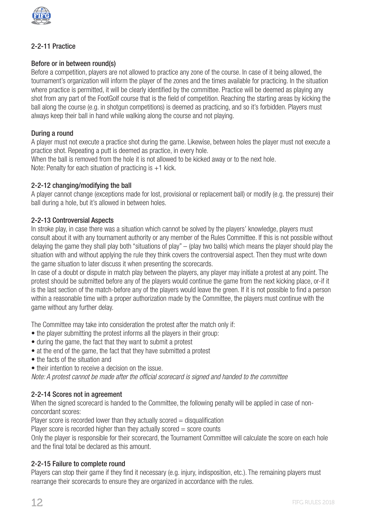

## 2-2-11 Practice

## Before or in between round(s)

Before a competition, players are not allowed to practice any zone of the course. In case of it being allowed, the tournament's organization will inform the player of the zones and the times available for practicing. In the situation where practice is permitted, it will be clearly identified by the committee. Practice will be deemed as playing any shot from any part of the FootGolf course that is the field of competition. Reaching the starting areas by kicking the ball along the course (e.g. in shotgun competitions) is deemed as practicing, and so it's forbidden. Players must always keep their ball in hand while walking along the course and not playing.

## During a round

A player must not execute a practice shot during the game. Likewise, between holes the player must not execute a practice shot. Repeating a putt is deemed as practice, in every hole.

When the ball is removed from the hole it is not allowed to be kicked away or to the next hole. Note: Penalty for each situation of practicing is +1 kick.

## 2-2-12 changing/modifying the ball

A player cannot change (exceptions made for lost, provisional or replacement ball) or modify (e.g. the pressure) their ball during a hole, but it's allowed in between holes.

## 2-2-13 Controversial Aspects

In stroke play, in case there was a situation which cannot be solved by the players' knowledge, players must consult about it with any tournament authority or any member of the Rules Committee. If this is not possible without delaying the game they shall play both "situations of play" – (play two balls) which means the player should play the situation with and without applying the rule they think covers the controversial aspect. Then they must write down the game situation to later discuss it when presenting the scorecards.

In case of a doubt or dispute in match play between the players, any player may initiate a protest at any point. The protest should be submitted before any of the players would continue the game from the next kicking place, or-if it is the last section of the match-before any of the players would leave the green. If it is not possible to find a person within a reasonable time with a proper authorization made by the Committee, the players must continue with the game without any further delay.

The Committee may take into consideration the protest after the match only if:

- the player submitting the protest informs all the players in their group:
- during the game, the fact that they want to submit a protest
- at the end of the game, the fact that they have submitted a protest
- the facts of the situation and
- their intention to receive a decision on the issue.

*Note: A protest cannot be made after the official scorecard is signed and handed to the committee*

## 2-2-14 Scores not in agreement

When the signed scorecard is handed to the Committee, the following penalty will be applied in case of nonconcordant scores:

Player score is recorded lower than they actually scored  $=$  disqualification

Player score is recorded higher than they actually scored  $=$  score counts

Only the player is responsible for their scorecard, the Tournament Committee will calculate the score on each hole and the final total be declared as this amount.

#### 2-2-15 Failure to complete round

Players can stop their game if they find it necessary (e.g. injury, indisposition, etc.). The remaining players must rearrange their scorecards to ensure they are organized in accordance with the rules.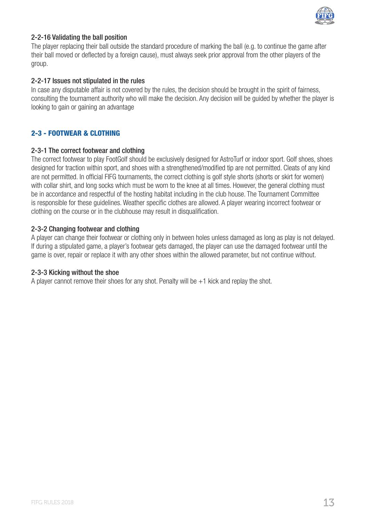

## 2-2-16 Validating the ball position

The player replacing their ball outside the standard procedure of marking the ball (e.g. to continue the game after their ball moved or deflected by a foreign cause), must always seek prior approval from the other players of the group.

#### 2-2-17 Issues not stipulated in the rules

In case any disputable affair is not covered by the rules, the decision should be brought in the spirit of fairness, consulting the tournament authority who will make the decision. Any decision will be guided by whether the player is looking to gain or gaining an advantage

## 2-3 - FOOTWEAR & CLOTHING

#### 2-3-1 The correct footwear and clothing

The correct footwear to play FootGolf should be exclusively designed for AstroTurf or indoor sport. Golf shoes, shoes designed for traction within sport, and shoes with a strengthened/modified tip are not permitted. Cleats of any kind are not permitted. In official FIFG tournaments, the correct clothing is golf style shorts (shorts or skirt for women) with collar shirt, and long socks which must be worn to the knee at all times. However, the general clothing must be in accordance and respectful of the hosting habitat including in the club house. The Tournament Committee is responsible for these guidelines. Weather specific clothes are allowed. A player wearing incorrect footwear or clothing on the course or in the clubhouse may result in disqualification.

#### 2-3-2 Changing footwear and clothing

A player can change their footwear or clothing only in between holes unless damaged as long as play is not delayed. If during a stipulated game, a player's footwear gets damaged, the player can use the damaged footwear until the game is over, repair or replace it with any other shoes within the allowed parameter, but not continue without.

#### 2-3-3 Kicking without the shoe

A player cannot remove their shoes for any shot. Penalty will be  $+1$  kick and replay the shot.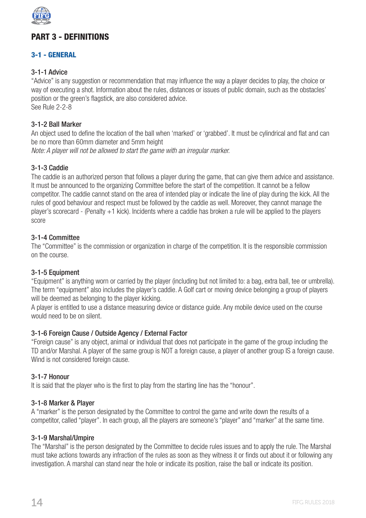

## PART 3 - DEFINITIONS

## 3-1 - GENERAL

## 3-1-1 Advice

"Advice" is any suggestion or recommendation that may influence the way a player decides to play, the choice or way of executing a shot. Information about the rules, distances or issues of public domain, such as the obstacles' position or the green's flagstick, are also considered advice. See Rule 2-2-8

#### 3-1-2 Ball Marker

An object used to define the location of the ball when 'marked' or 'grabbed'. It must be cylindrical and flat and can be no more than 60mm diameter and 5mm height

*Note: A player will not be allowed to start the game with an irregular marker.*

#### 3-1-3 Caddie

The caddie is an authorized person that follows a player during the game, that can give them advice and assistance. It must be announced to the organizing Committee before the start of the competition. It cannot be a fellow competitor. The caddie cannot stand on the area of intended play or indicate the line of play during the kick. All the rules of good behaviour and respect must be followed by the caddie as well. Moreover, they cannot manage the player's scorecard - (Penalty +1 kick). Incidents where a caddie has broken a rule will be applied to the players score

#### 3-1-4 Committee

The "Committee" is the commission or organization in charge of the competition. It is the responsible commission on the course.

#### 3-1-5 Equipment

"Equipment" is anything worn or carried by the player (including but not limited to: a bag, extra ball, tee or umbrella). The term "equipment" also includes the player's caddie. A Golf cart or moving device belonging a group of players will be deemed as belonging to the player kicking.

A player is entitled to use a distance measuring device or distance guide. Any mobile device used on the course would need to be on silent.

#### 3-1-6 Foreign Cause / Outside Agency / External Factor

"Foreign cause" is any object, animal or individual that does not participate in the game of the group including the TD and/or Marshal. A player of the same group is NOT a foreign cause, a player of another group IS a foreign cause. Wind is not considered foreign cause.

#### 3-1-7 Honour

It is said that the player who is the first to play from the starting line has the "honour".

#### 3-1-8 Marker & Player

A "marker" is the person designated by the Committee to control the game and write down the results of a competitor, called "player". In each group, all the players are someone's "player" and "marker" at the same time.

#### 3-1-9 Marshal/Umpire

The "Marshal" is the person designated by the Committee to decide rules issues and to apply the rule. The Marshal must take actions towards any infraction of the rules as soon as they witness it or finds out about it or following any investigation. A marshal can stand near the hole or indicate its position, raise the ball or indicate its position.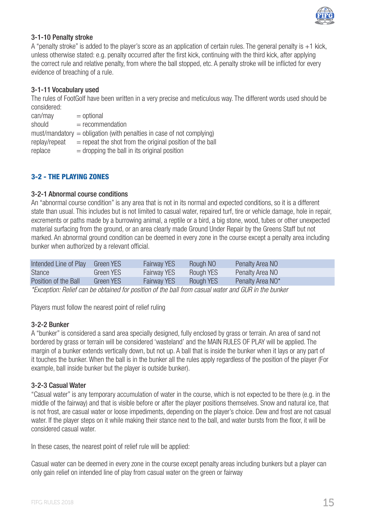

#### 3-1-10 Penalty stroke

A "penalty stroke" is added to the player's score as an application of certain rules. The general penalty is +1 kick, unless otherwise stated: e.g. penalty occurred after the first kick, continuing with the third kick, after applying the correct rule and relative penalty, from where the ball stopped, etc. A penalty stroke will be inflicted for every evidence of breaching of a rule.

### 3-1-11 Vocabulary used

The rules of FootGolf have been written in a very precise and meticulous way. The different words used should be considered:

| can/may       | $=$ optional                                                            |
|---------------|-------------------------------------------------------------------------|
| should        | $=$ recommendation                                                      |
|               | $must/mandatory = obligation (with penalties in case of not complying)$ |
| replay/repeat | $=$ repeat the shot from the original position of the ball              |
| replace       | $=$ dropping the ball in its original position                          |

## 3-2 - THE PLAYING ZONES

#### 3-2-1 Abnormal course conditions

An "abnormal course condition" is any area that is not in its normal and expected conditions, so it is a different state than usual. This includes but is not limited to casual water, repaired turf, tire or vehicle damage, hole in repair, excrements or paths made by a burrowing animal, a reptile or a bird, a big stone, wood, tubes or other unexpected material surfacing from the ground, or an area clearly made Ground Under Repair by the Greens Staff but not marked. An abnormal ground condition can be deemed in every zone in the course except a penalty area including bunker when authorized by a relevant official.

| Intended Line of Play | Green YES | <b>Fairway YES</b> | Rough NO  | Penalty Area NO  |
|-----------------------|-----------|--------------------|-----------|------------------|
| <b>Stance</b>         | Green YES | <b>Fairway YES</b> | Rough YES | Penalty Area NO  |
| Position of the Ball  | Green YES | <b>Fairway YES</b> | Rough YES | Penalty Area NO* |

*\*Exception: Relief can be obtained for position of the ball from casual water and GUR in the bunker*

Players must follow the nearest point of relief ruling

#### 3-2-2 Bunker

A "bunker" is considered a sand area specially designed, fully enclosed by grass or terrain. An area of sand not bordered by grass or terrain will be considered 'wasteland' and the MAIN RULES OF PLAY will be applied. The margin of a bunker extends vertically down, but not up. A ball that is inside the bunker when it lays or any part of it touches the bunker. When the ball is in the bunker all the rules apply regardless of the position of the player (For example, ball inside bunker but the player is outside bunker).

#### 3-2-3 Casual Water

"Casual water" is any temporary accumulation of water in the course, which is not expected to be there (e.g. in the middle of the fairway) and that is visible before or after the player positions themselves. Snow and natural ice, that is not frost, are casual water or loose impediments, depending on the player's choice. Dew and frost are not casual water. If the player steps on it while making their stance next to the ball, and water bursts from the floor, it will be considered casual water.

In these cases, the nearest point of relief rule will be applied:

Casual water can be deemed in every zone in the course except penalty areas including bunkers but a player can only gain relief on intended line of play from casual water on the green or fairway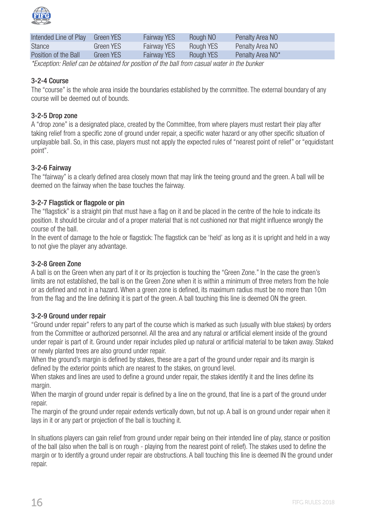

| Intended Line of Play | Green YES | <b>Fairway YES</b> | Rough NO  | Penalty Area NO  |
|-----------------------|-----------|--------------------|-----------|------------------|
| <b>Stance</b>         | Green YES | <b>Fairway YES</b> | Rough YES | Penalty Area NO  |
| Position of the Ball  | Green YES | <b>Fairway YES</b> | Rough YES | Penalty Area NO* |

*\*Exception: Relief can be obtained for position of the ball from casual water in the bunker*

## 3-2-4 Course

The "course" is the whole area inside the boundaries established by the committee. The external boundary of any course will be deemed out of bounds.

### 3-2-5 Drop zone

A "drop zone" is a designated place, created by the Committee, from where players must restart their play after taking relief from a specific zone of ground under repair, a specific water hazard or any other specific situation of unplayable ball. So, in this case, players must not apply the expected rules of "nearest point of relief" or "equidistant point".

## 3-2-6 Fairway

The "fairway" is a clearly defined area closely mown that may link the teeing ground and the green. A ball will be deemed on the fairway when the base touches the fairway.

#### 3-2-7 Flagstick or flagpole or pin

The "flagstick" is a straight pin that must have a flag on it and be placed in the centre of the hole to indicate its position. It should be circular and of a proper material that is not cushioned nor that might influence wrongly the course of the ball.

In the event of damage to the hole or flagstick: The flagstick can be 'held' as long as it is upright and held in a way to not give the player any advantage.

## 3-2-8 Green Zone

A ball is on the Green when any part of it or its projection is touching the "Green Zone." In the case the green's limits are not established, the ball is on the Green Zone when it is within a minimum of three meters from the hole or as defined and not in a hazard. When a green zone is defined, its maximum radius must be no more than 10m from the flag and the line defining it is part of the green. A ball touching this line is deemed ON the green.

#### 3-2-9 Ground under repair

"Ground under repair" refers to any part of the course which is marked as such (usually with blue stakes) by orders from the Committee or authorized personnel. All the area and any natural or artificial element inside of the ground under repair is part of it. Ground under repair includes piled up natural or artificial material to be taken away. Staked or newly planted trees are also ground under repair.

When the ground's margin is defined by stakes, these are a part of the ground under repair and its margin is defined by the exterior points which are nearest to the stakes, on ground level.

When stakes and lines are used to define a ground under repair, the stakes identify it and the lines define its margin.

When the margin of ground under repair is defined by a line on the ground, that line is a part of the ground under repair.

The margin of the ground under repair extends vertically down, but not up. A ball is on ground under repair when it lays in it or any part or projection of the ball is touching it.

In situations players can gain relief from ground under repair being on their intended line of play, stance or position of the ball (also when the ball is on rough - playing from the nearest point of relief). The stakes used to define the margin or to identify a ground under repair are obstructions. A ball touching this line is deemed IN the ground under repair.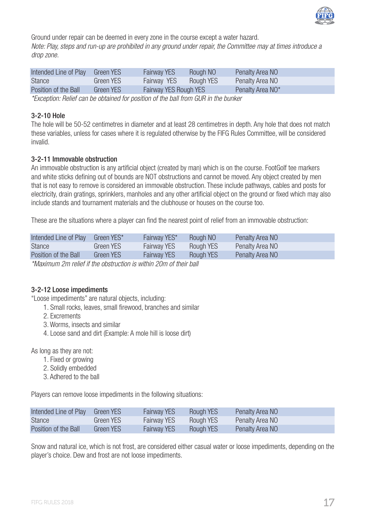

Ground under repair can be deemed in every zone in the course except a water hazard. *Note: Play, steps and run-up are prohibited in any ground under repair, the Committee may at times introduce a drop zone.*

|                                                                                  | <b>Fairway YES</b><br>Rough NO<br>Penalty Area NO | Green YES | Intended Line of Play |
|----------------------------------------------------------------------------------|---------------------------------------------------|-----------|-----------------------|
| <b>Stance</b><br><b>Fairway YES</b><br>Penalty Area NO<br>Rough YES<br>Green YES |                                                   |           |                       |
| Position of the Ball<br>Penalty Area NO*<br>Fairway YES Rough YES<br>Green YES   |                                                   |           |                       |

*\*Exception: Relief can be obtained for position of the ball from GUR in the bunker*

#### 3-2-10 Hole

The hole will be 50-52 centimetres in diameter and at least 28 centimetres in depth. Any hole that does not match these variables, unless for cases where it is regulated otherwise by the FIFG Rules Committee, will be considered invalid.

#### 3-2-11 Immovable obstruction

An immovable obstruction is any artificial object (created by man) which is on the course. FootGolf tee markers and white sticks defining out of bounds are NOT obstructions and cannot be moved. Any object created by men that is not easy to remove is considered an immovable obstruction. These include pathways, cables and posts for electricity, drain gratings, sprinklers, manholes and any other artificial object on the ground or fixed which may also include stands and tournament materials and the clubhouse or houses on the course too.

These are the situations where a player can find the nearest point of relief from an immovable obstruction:

| Intended Line of Play | Green YES* | Fairway YES*       | Rough NO  | Penalty Area NO |
|-----------------------|------------|--------------------|-----------|-----------------|
| <b>Stance</b>         | Green YES  | <b>Fairway YES</b> | Rough YES | Penalty Area NO |
| Position of the Ball  | Green YES  | <b>Fairway YES</b> | Rough YES | Penalty Area NO |
|                       |            |                    |           |                 |

*\*Maximum 2m relief if the obstruction is within 20m of their ball*

#### 3-2-12 Loose impediments

"Loose impediments" are natural objects, including:

- 1. Small rocks, leaves, small firewood, branches and similar
- 2. Excrements
- 3. Worms, insects and similar
- 4. Loose sand and dirt (Example: A mole hill is loose dirt)

As long as they are not:

- 1. Fixed or growing
- 2. Solidly embedded
- 3. Adhered to the ball

Players can remove loose impediments in the following situations:

| Intended Line of Play | Green YES | <b>Fairway YES</b> | Rough YES | Penalty Area NO |
|-----------------------|-----------|--------------------|-----------|-----------------|
| <b>Stance</b>         | Green YES | <b>Fairway YES</b> | Rough YES | Penalty Area NO |
| Position of the Ball  | Green YES | <b>Fairway YES</b> | Rough YES | Penalty Area NO |

Snow and natural ice, which is not frost, are considered either casual water or loose impediments, depending on the player's choice. Dew and frost are not loose impediments.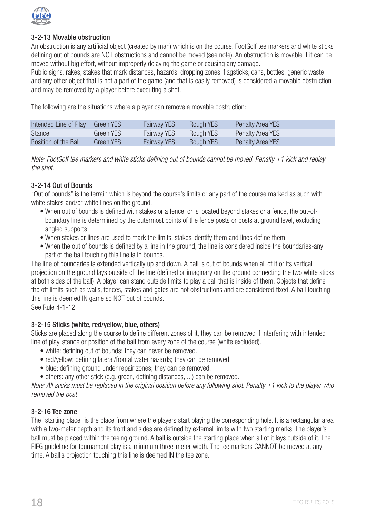

#### 3-2-13 Movable obstruction

An obstruction is any artificial object (created by man) which is on the course. FootGolf tee markers and white sticks defining out of bounds are NOT obstructions and cannot be moved (see note). An obstruction is movable if it can be moved without big effort, without improperly delaying the game or causing any damage.

Public signs, rakes, stakes that mark distances, hazards, dropping zones, flagsticks, cans, bottles, generic waste and any other object that is not a part of the game (and that is easily removed) is considered a movable obstruction and may be removed by a player before executing a shot.

The following are the situations where a player can remove a movable obstruction:

| Intended Line of Play | Green YES | <b>Fairway YES</b> | Rough YES | Penalty Area YES |
|-----------------------|-----------|--------------------|-----------|------------------|
| <b>Stance</b>         | Green YES | <b>Fairway YES</b> | Rough YES | Penalty Area YES |
| Position of the Ball  | Green YES | <b>Fairway YES</b> | Rough YES | Penalty Area YES |

*Note: FootGolf tee markers and white sticks defining out of bounds cannot be moved. Penalty +1 kick and replay the shot.*

#### 3-2-14 Out of Bounds

"Out of bounds" is the terrain which is beyond the course's limits or any part of the course marked as such with white stakes and/or white lines on the ground.

- When out of bounds is defined with stakes or a fence, or is located beyond stakes or a fence, the out-ofboundary line is determined by the outermost points of the fence posts or posts at ground level, excluding angled supports.
- When stakes or lines are used to mark the limits, stakes identify them and lines define them.
- When the out of bounds is defined by a line in the ground, the line is considered inside the boundaries-any part of the ball touching this line is in bounds.

The line of boundaries is extended vertically up and down. A ball is out of bounds when all of it or its vertical projection on the ground lays outside of the line (defined or imaginary on the ground connecting the two white sticks at both sides of the ball). A player can stand outside limits to play a ball that is inside of them. Objects that define the off limits such as walls, fences, stakes and gates are not obstructions and are considered fixed. A ball touching this line is deemed IN game so NOT out of bounds.

See Rule 4-1-12

#### 3-2-15 Sticks (white, red/yellow, blue, others)

Sticks are placed along the course to define different zones of it, they can be removed if interfering with intended line of play, stance or position of the ball from every zone of the course (white excluded).

- white: defining out of bounds; they can never be removed.
- red/yellow: defining lateral/frontal water hazards; they can be removed.
- blue: defining ground under repair zones; they can be removed.
- others: any other stick (e.g. green, defining distances, ...) can be removed.

*Note: All sticks must be replaced in the original position before any following shot. Penalty +1 kick to the player who removed the post*

#### 3-2-16 Tee zone

The "starting place" is the place from where the players start playing the corresponding hole. It is a rectangular area with a two-meter depth and its front and sides are defined by external limits with two starting marks. The player's ball must be placed within the teeing ground. A ball is outside the starting place when all of it lays outside of it. The FIFG guideline for tournament play is a minimum three-meter width. The tee markers CANNOT be moved at any time. A ball's projection touching this line is deemed IN the tee zone.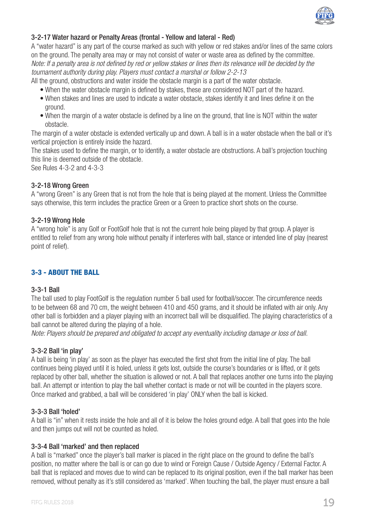

## 3-2-17 Water hazard or Penalty Areas (frontal - Yellow and lateral - Red)

A "water hazard" is any part of the course marked as such with yellow or red stakes and/or lines of the same colors on the ground. The penalty area may or may not consist of water or waste area as defined by the committee. *Note: If a penalty area is not defined by red or yellow stakes or lines then its relevance will be decided by the tournament authority during play. Players must contact a marshal or follow 2-2-13*

All the ground, obstructions and water inside the obstacle margin is a part of the water obstacle.

- When the water obstacle margin is defined by stakes, these are considered NOT part of the hazard.
- When stakes and lines are used to indicate a water obstacle, stakes identify it and lines define it on the ground.
- When the margin of a water obstacle is defined by a line on the ground, that line is NOT within the water obstacle.

The margin of a water obstacle is extended vertically up and down. A ball is in a water obstacle when the ball or it's vertical projection is entirely inside the hazard.

The stakes used to define the margin, or to identify, a water obstacle are obstructions. A ball's projection touching this line is deemed outside of the obstacle.

See Rules 4-3-2 and 4-3-3

#### 3-2-18 Wrong Green

A "wrong Green" is any Green that is not from the hole that is being played at the moment. Unless the Committee says otherwise, this term includes the practice Green or a Green to practice short shots on the course.

#### 3-2-19 Wrong Hole

A "wrong hole" is any Golf or FootGolf hole that is not the current hole being played by that group. A player is entitled to relief from any wrong hole without penalty if interferes with ball, stance or intended line of play (nearest point of relief).

#### 3-3 - ABOUT THE BALL

#### 3-3-1 Ball

The ball used to play FootGolf is the regulation number 5 ball used for football/soccer. The circumference needs to be between 68 and 70 cm, the weight between 410 and 450 grams, and it should be inflated with air only. Any other ball is forbidden and a player playing with an incorrect ball will be disqualified. The playing characteristics of a ball cannot be altered during the playing of a hole.

*Note: Players should be prepared and obligated to accept any eventuality including damage or loss of ball.*

#### 3-3-2 Ball 'in play'

A ball is being 'in play' as soon as the player has executed the first shot from the initial line of play. The ball continues being played until it is holed, unless it gets lost, outside the course's boundaries or is lifted, or it gets replaced by other ball, whether the situation is allowed or not. A ball that replaces another one turns into the playing ball. An attempt or intention to play the ball whether contact is made or not will be counted in the players score. Once marked and grabbed, a ball will be considered 'in play' ONLY when the ball is kicked.

#### 3-3-3 Ball 'holed'

A ball is "in" when it rests inside the hole and all of it is below the holes ground edge. A ball that goes into the hole and then jumps out will not be counted as holed.

#### 3-3-4 Ball 'marked' and then replaced

A ball is "marked" once the player's ball marker is placed in the right place on the ground to define the ball's position, no matter where the ball is or can go due to wind or Foreign Cause / Outside Agency / External Factor. A ball that is replaced and moves due to wind can be replaced to its original position, even if the ball marker has been removed, without penalty as it's still considered as 'marked'. When touching the ball, the player must ensure a ball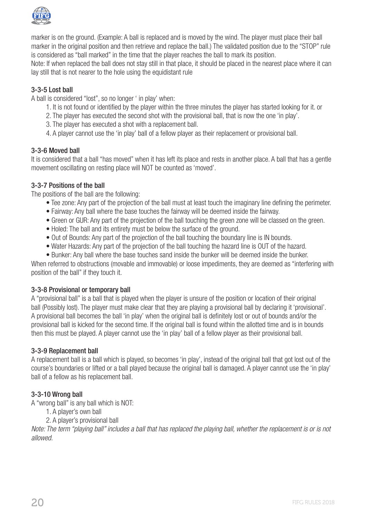

marker is on the ground. (Example: A ball is replaced and is moved by the wind. The player must place their ball marker in the original position and then retrieve and replace the ball.) The validated position due to the "STOP" rule is considered as "ball marked" in the time that the player reaches the ball to mark its position.

Note: If when replaced the ball does not stay still in that place, it should be placed in the nearest place where it can lay still that is not nearer to the hole using the equidistant rule

## 3-3-5 Lost ball

A ball is considered "lost", so no longer ' in play' when:

- 1. It is not found or identified by the player within the three minutes the player has started looking for it. or
- 2. The player has executed the second shot with the provisional ball, that is now the one 'in play'.
- 3. The player has executed a shot with a replacement ball.
- 4. A player cannot use the 'in play' ball of a fellow player as their replacement or provisional ball.

#### 3-3-6 Moved ball

It is considered that a ball "has moved" when it has left its place and rests in another place. A ball that has a gentle movement oscillating on resting place will NOT be counted as 'moved'.

#### 3-3-7 Positions of the ball

The positions of the ball are the following:

- Tee zone: Any part of the projection of the ball must at least touch the imaginary line defining the perimeter.
- Fairway: Any ball where the base touches the fairway will be deemed inside the fairway.
- Green or GUR: Any part of the projection of the ball touching the green zone will be classed on the green.
- Holed: The ball and its entirety must be below the surface of the ground.
- Out of Bounds: Any part of the projection of the ball touching the boundary line is IN bounds.
- Water Hazards: Any part of the projection of the ball touching the hazard line is OUT of the hazard.
- Bunker: Any ball where the base touches sand inside the bunker will be deemed inside the bunker.

When referred to obstructions (movable and immovable) or loose impediments, they are deemed as "interfering with position of the ball" if they touch it.

#### 3-3-8 Provisional or temporary ball

A "provisional ball" is a ball that is played when the player is unsure of the position or location of their original ball (Possibly lost). The player must make clear that they are playing a provisional ball by declaring it 'provisional'. A provisional ball becomes the ball 'in play' when the original ball is definitely lost or out of bounds and/or the provisional ball is kicked for the second time. If the original ball is found within the allotted time and is in bounds then this must be played. A player cannot use the 'in play' ball of a fellow player as their provisional ball.

#### 3-3-9 Replacement ball

A replacement ball is a ball which is played, so becomes 'in play', instead of the original ball that got lost out of the course's boundaries or lifted or a ball played because the original ball is damaged. A player cannot use the 'in play' ball of a fellow as his replacement ball.

#### 3-3-10 Wrong ball

A "wrong ball" is any ball which is NOT:

- 1. A player's own ball
- 2. A player's provisional ball

*Note: The term "playing ball" includes a ball that has replaced the playing ball, whether the replacement is or is not allowed.*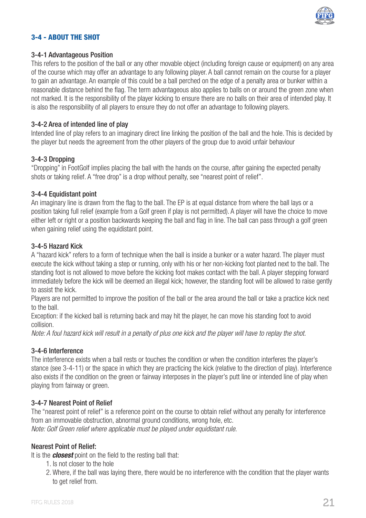

## 3-4 - ABOUT THE SHOT

#### 3-4-1 Advantageous Position

This refers to the position of the ball or any other movable object (including foreign cause or equipment) on any area of the course which may offer an advantage to any following player. A ball cannot remain on the course for a player to gain an advantage. An example of this could be a ball perched on the edge of a penalty area or bunker within a reasonable distance behind the flag. The term advantageous also applies to balls on or around the green zone when not marked. It is the responsibility of the player kicking to ensure there are no balls on their area of intended play. It is also the responsibility of all players to ensure they do not offer an advantage to following players.

#### 3-4-2 Area of intended line of play

Intended line of play refers to an imaginary direct line linking the position of the ball and the hole. This is decided by the player but needs the agreement from the other players of the group due to avoid unfair behaviour

#### 3-4-3 Dropping

"Dropping" in FootGolf implies placing the ball with the hands on the course, after gaining the expected penalty shots or taking relief. A "free drop" is a drop without penalty, see "nearest point of relief".

#### 3-4-4 Equidistant point

An imaginary line is drawn from the flag to the ball. The EP is at equal distance from where the ball lays or a position taking full relief (example from a Golf green if play is not permitted). A player will have the choice to move either left or right or a position backwards keeping the ball and flag in line. The ball can pass through a golf green when gaining relief using the equidistant point.

#### 3-4-5 Hazard Kick

A "hazard kick" refers to a form of technique when the ball is inside a bunker or a water hazard. The player must execute the kick without taking a step or running, only with his or her non-kicking foot planted next to the ball. The standing foot is not allowed to move before the kicking foot makes contact with the ball. A player stepping forward immediately before the kick will be deemed an illegal kick; however, the standing foot will be allowed to raise gently to assist the kick.

Players are not permitted to improve the position of the ball or the area around the ball or take a practice kick next to the ball.

Exception: if the kicked ball is returning back and may hit the player, he can move his standing foot to avoid collision.

*Note: A foul hazard kick will result in a penalty of plus one kick and the player will have to replay the shot.*

#### 3-4-6 Interference

The interference exists when a ball rests or touches the condition or when the condition interferes the player's stance (see 3-4-11) or the space in which they are practicing the kick (relative to the direction of play). Interference also exists if the condition on the green or fairway interposes in the player's putt line or intended line of play when playing from fairway or green.

## 3-4-7 Nearest Point of Relief

The "nearest point of relief" is a reference point on the course to obtain relief without any penalty for interference from an immovable obstruction, abnormal ground conditions, wrong hole, etc. *Note: Golf Green relief where applicable must be played under equidistant rule.*

#### Nearest Point of Relief:

It is the *closest* point on the field to the resting ball that:

- 1. Is not closer to the hole
- 2. Where, if the ball was laying there, there would be no interference with the condition that the player wants to get relief from.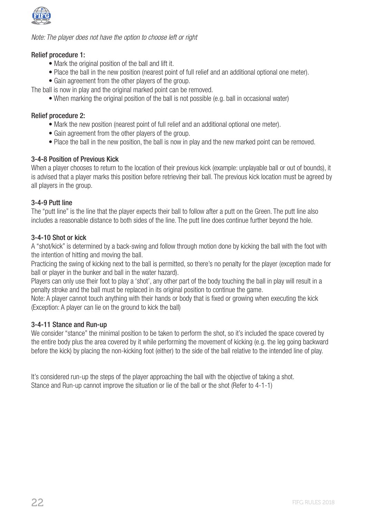

*Note: The player does not have the option to choose left or right*

#### Relief procedure 1:

- Mark the original position of the ball and lift it.
- Place the ball in the new position (nearest point of full relief and an additional optional one meter).
- Gain agreement from the other players of the group.

The ball is now in play and the original marked point can be removed.

• When marking the original position of the ball is not possible (e.g. ball in occasional water)

### Relief procedure 2:

- Mark the new position (nearest point of full relief and an additional optional one meter).
- Gain agreement from the other players of the group.
- Place the ball in the new position, the ball is now in play and the new marked point can be removed.

## 3-4-8 Position of Previous Kick

When a player chooses to return to the location of their previous kick (example: unplayable ball or out of bounds), it is advised that a player marks this position before retrieving their ball. The previous kick location must be agreed by all players in the group.

## 3-4-9 Putt line

The "putt line" is the line that the player expects their ball to follow after a putt on the Green. The putt line also includes a reasonable distance to both sides of the line. The putt line does continue further beyond the hole.

## 3-4-10 Shot or kick

A "shot/kick" is determined by a back-swing and follow through motion done by kicking the ball with the foot with the intention of hitting and moving the ball.

Practicing the swing of kicking next to the ball is permitted, so there's no penalty for the player (exception made for ball or player in the bunker and ball in the water hazard).

Players can only use their foot to play a 'shot', any other part of the body touching the ball in play will result in a penalty stroke and the ball must be replaced in its original position to continue the game.

Note: A player cannot touch anything with their hands or body that is fixed or growing when executing the kick (Exception: A player can lie on the ground to kick the ball)

#### 3-4-11 Stance and Run-up

We consider "stance" the minimal position to be taken to perform the shot, so it's included the space covered by the entire body plus the area covered by it while performing the movement of kicking (e.g. the leg going backward before the kick) by placing the non-kicking foot (either) to the side of the ball relative to the intended line of play.

It's considered run-up the steps of the player approaching the ball with the objective of taking a shot. Stance and Run-up cannot improve the situation or lie of the ball or the shot (Refer to 4-1-1)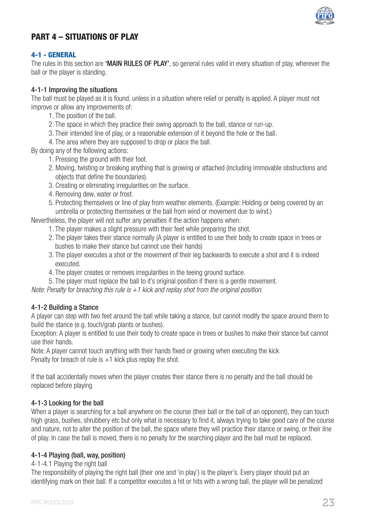

## PART A - SITHATIONS OF PLAY

#### 4-1 - GENERAL

The rules in this section are 'MAIN RULES OF PLAY', so general rules valid in every situation of play, wherever the ball or the player is standing.

### 4-1-1 Improving the situations

The ball must be played as it is found, unless in a situation where relief or penalty is applied. A player must not improve or allow any improvements of:

- 1. The position of the ball.
- 2. The space in which they practice their swing approach to the ball, stance or run-up.
- 3. Their intended line of play, or a reasonable extension of it beyond the hole or the ball.
- 4. The area where they are supposed to drop or place the ball.

By doing any of the following actions:

- 1. Pressing the ground with their foot.
- 2. Moving, twisting or breaking anything that is growing or attached (including immovable obstructions and objects that define the boundaries).
- 3. Creating or eliminating irregularities on the surface.
- 4. Removing dew, water or frost.
- 5. Protecting themselves or line of play from weather elements. (Example: Holding or being covered by an umbrella or protecting themselves or the ball from wind or movement due to wind.)

Nevertheless, the player will not suffer any penalties if the action happens when:

- 1. The player makes a slight pressure with their feet while preparing the shot.
- 2. The player takes their stance normally (A player is entitled to use their body to create space in trees or bushes to make their stance but cannot use their hands)
- 3. The player executes a shot or the movement of their leg backwards to execute a shot and it is indeed executed.
- 4. The player creates or removes irregularities in the teeing ground surface.
- 5. The player must replace the ball to it's original position if there is a gentle movement.

*Note: Penalty for breaching this rule is +1 kick and replay shot from the original position.*

#### 4-1-2 Building a Stance

A player can step with two feet around the ball while taking a stance, but cannot modify the space around them to build the stance (e.g. touch/grab plants or bushes).

Exception: A player is entitled to use their body to create space in trees or bushes to make their stance but cannot use their hands.

Note: A player cannot touch anything with their hands fixed or growing when executing the kick Penalty for breach of rule is  $+1$  kick plus replay the shot.

If the ball accidentally moves when the player creates their stance there is no penalty and the ball should be replaced before playing

#### 4-1-3 Looking for the ball

When a player is searching for a ball anywhere on the course (their ball or the ball of an opponent), they can touch high grass, bushes, shrubbery etc but only what is necessary to find it, always trying to take good care of the course and nature, not to alter the position of the ball, the space where they will practice their stance or swing, or their line of play. In case the ball is moved, there is no penalty for the searching player and the ball must be replaced.

#### 4-1-4 Playing (ball, way, position)

#### 4-1-4.1 Playing the right ball

The responsibility of playing the right ball (their one and 'in play') is the player's. Every player should put an identifying mark on their ball. If a competitor executes a hit or hits with a wrong ball, the player will be penalized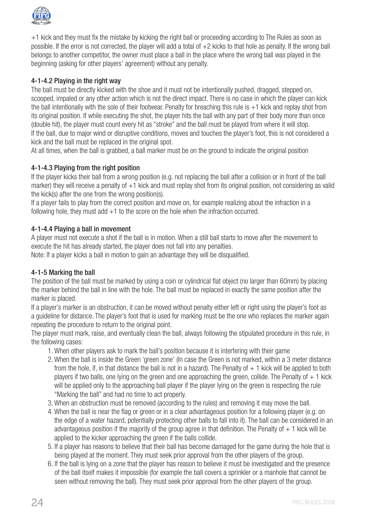

+1 kick and they must fix the mistake by kicking the right ball or proceeding according to The Rules as soon as possible. If the error is not corrected, the player will add a total of +2 kicks to that hole as penalty. If the wrong ball belongs to another competitor, the owner must place a ball in the place where the wrong ball was played in the beginning (asking for other players' agreement) without any penalty.

## 4-1-4.2 Playing in the right way

The ball must be directly kicked with the shoe and it must not be intentionally pushed, dragged, stepped on, scooped, impaled or any other action which is not the direct impact. There is no case in which the player can kick the ball intentionally with the sole of their footwear. Penalty for breaching this rule is +1 kick and replay shot from its original position. If while executing the shot, the player hits the ball with any part of their body more than once (double hit), the player must count every hit as "stroke" and the ball must be played from where it will stop. If the ball, due to major wind or disruptive conditions, moves and touches the player's foot, this is not considered a kick and the ball must be replaced in the original spot.

At all times, when the ball is grabbed, a ball marker must be on the ground to indicate the original position

## 4-1-4.3 Playing from the right position

If the player kicks their ball from a wrong position (e.g. not replacing the ball after a collision or in front of the ball marker) they will receive a penalty of +1 kick and must replay shot from its original position, not considering as valid the kick(s) after the one from the wrong position(s).

If a player fails to play from the correct position and move on, for example realizing about the infraction in a following hole, they must add  $+1$  to the score on the hole when the infraction occurred.

## 4-1-4.4 Playing a ball in movement

A player must not execute a shot if the ball is in motion. When a still ball starts to move after the movement to execute the hit has already started, the player does not fall into any penalties.

Note: If a player kicks a ball in motion to gain an advantage they will be disqualified.

## 4-1-5 Marking the ball

The position of the ball must be marked by using a coin or cylindrical flat object (no larger than 60mm) by placing the marker behind the ball in line with the hole. The ball must be replaced in exactly the same position after the marker is placed.

If a player's marker is an obstruction, it can be moved without penalty either left or right using the player's foot as a guideline for distance. The player's foot that is used for marking must be the one who replaces the marker again repeating the procedure to return to the original point.

The player must mark, raise, and eventually clean the ball, always following the stipulated procedure in this rule, in the following cases:

- 1. When other players ask to mark the ball's position because it is interfering with their game
- 2. When the ball is inside the Green 'green zone' (In case the Green is not marked, within a 3 meter distance from the hole, if, in that distance the ball is not in a hazard). The Penalty of  $+1$  kick will be applied to both players if two balls, one lying on the green and one approaching the green, collide. The Penalty of  $+1$  kick will be applied only to the approaching ball player if the player lying on the green is respecting the rule "Marking the ball" and had no time to act properly.
- 3. When an obstruction must be removed (according to the rules) and removing it may move the ball.
- 4. When the ball is near the flag or green or in a clear advantageous position for a following player (e.g. on the edge of a water hazard, potentially protecting other balls to fall into it). The ball can be considered in an advantageous position if the majority of the group agree in that definition. The Penalty of  $+1$  kick will be applied to the kicker approaching the green if the balls collide.
- 5. If a player has reasons to believe that their ball has become damaged for the game during the hole that is being played at the moment. They must seek prior approval from the other players of the group.
- 6. If the ball is lying on a zone that the player has reason to believe it must be investigated and the presence of the ball itself makes it impossible (for example the ball covers a sprinkler or a manhole that cannot be seen without removing the ball). They must seek prior approval from the other players of the group.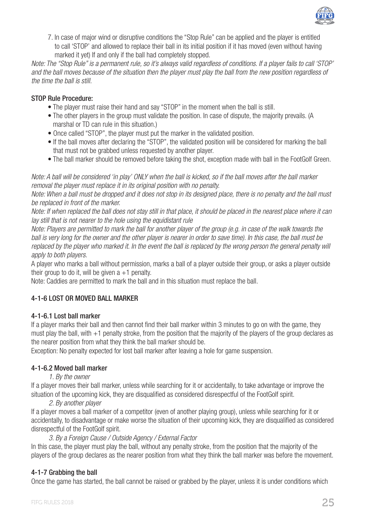

7. In case of major wind or disruptive conditions the "Stop Rule" can be applied and the player is entitled to call 'STOP' and allowed to replace their ball in its initial position if it has moved (even without having marked it yet) If and only if the ball had completely stopped.

*Note: The "Stop Rule" is a permanent rule, so it's always valid regardless of conditions. If a player fails to call 'STOP' and the ball moves because of the situation then the player must play the ball from the new position regardless of the time the ball is still.*

## STOP Rule Procedure:

- The player must raise their hand and say "STOP" in the moment when the ball is still.
- The other players in the group must validate the position. In case of dispute, the majority prevails. (A marshal or TD can rule in this situation.)
- Once called "STOP", the player must put the marker in the validated position.
- If the ball moves after declaring the "STOP", the validated position will be considered for marking the ball that must not be grabbed unless requested by another player.
- The ball marker should be removed before taking the shot, exception made with ball in the FootGolf Green.

*Note: A ball will be considered 'in play' ONLY when the ball is kicked, so if the ball moves after the ball marker removal the player must replace it in its original position with no penalty.*

*Note: When a ball must be dropped and it does not stop in its designed place, there is no penalty and the ball must be replaced in front of the marker.*

*Note: If when replaced the ball does not stay still in that place, it should be placed in the nearest place where it can lay still that is not nearer to the hole using the equidistant rule*

*Note: Players are permitted to mark the ball for another player of the group (e.g. in case of the walk towards the* ball is very long for the owner and the other player is nearer in order to save time). In this case, the ball must be replaced by the player who marked it. In the event the ball is replaced by the wrong person the general penalty will *apply to both players.*

A player who marks a ball without permission, marks a ball of a player outside their group, or asks a player outside their group to do it, will be given  $a + 1$  penalty.

Note: Caddies are permitted to mark the ball and in this situation must replace the ball.

## 4-1-6 LOST OR MOVED BALL MARKER

#### 4-1-6.1 Lost ball marker

If a player marks their ball and then cannot find their ball marker within 3 minutes to go on with the game, they must play the ball, with  $+1$  penalty stroke, from the position that the majority of the players of the group declares as the nearer position from what they think the ball marker should be.

Exception: No penalty expected for lost ball marker after leaving a hole for game suspension.

#### 4-1-6.2 Moved ball marker

#### *1. By the owner*

If a player moves their ball marker, unless while searching for it or accidentally, to take advantage or improve the situation of the upcoming kick, they are disqualified as considered disrespectful of the FootGolf spirit.

#### *2. By another player*

If a player moves a ball marker of a competitor (even of another playing group), unless while searching for it or accidentally, to disadvantage or make worse the situation of their upcoming kick, they are disqualified as considered disrespectful of the FootGolf spirit.

#### *3. By a Foreign Cause / Outside Agency / External Factor*

In this case, the player must play the ball, without any penalty stroke, from the position that the majority of the players of the group declares as the nearer position from what they think the ball marker was before the movement.

#### 4-1-7 Grabbing the ball

Once the game has started, the ball cannot be raised or grabbed by the player, unless it is under conditions which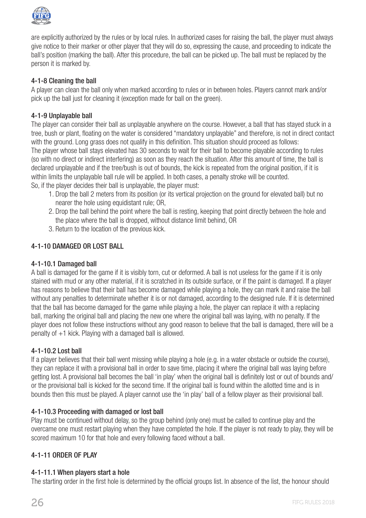

are explicitly authorized by the rules or by local rules. In authorized cases for raising the ball, the player must always give notice to their marker or other player that they will do so, expressing the cause, and proceeding to indicate the ball's position (marking the ball). After this procedure, the ball can be picked up. The ball must be replaced by the person it is marked by.

## 4-1-8 Cleaning the ball

A player can clean the ball only when marked according to rules or in between holes. Players cannot mark and/or pick up the ball just for cleaning it (exception made for ball on the green).

#### 4-1-9 Unplayable ball

The player can consider their ball as unplayable anywhere on the course. However, a ball that has stayed stuck in a tree, bush or plant, floating on the water is considered "mandatory unplayable" and therefore, is not in direct contact with the ground. Long grass does not qualify in this definition. This situation should proceed as follows: The player whose ball stays elevated has 30 seconds to wait for their ball to become playable according to rules (so with no direct or indirect interfering) as soon as they reach the situation. After this amount of time, the ball is declared unplayable and if the tree/bush is out of bounds, the kick is repeated from the original position, if it is within limits the unplayable ball rule will be applied. In both cases, a penalty stroke will be counted.

So, if the player decides their ball is unplayable, the player must:

- 1. Drop the ball 2 meters from its position (or its vertical projection on the ground for elevated ball) but no nearer the hole using equidistant rule; OR,
- 2. Drop the ball behind the point where the ball is resting, keeping that point directly between the hole and the place where the ball is dropped, without distance limit behind, OR
- 3. Return to the location of the previous kick.

## 4-1-10 DAMAGED OR LOST BALL

#### 4-1-10.1 Damaged ball

A ball is damaged for the game if it is visibly torn, cut or deformed. A ball is not useless for the game if it is only stained with mud or any other material, if it is scratched in its outside surface, or if the paint is damaged. If a player has reasons to believe that their ball has become damaged while playing a hole, they can mark it and raise the ball without any penalties to determinate whether it is or not damaged, according to the designed rule. If it is determined that the ball has become damaged for the game while playing a hole, the player can replace it with a replacing ball, marking the original ball and placing the new one where the original ball was laying, with no penalty. If the player does not follow these instructions without any good reason to believe that the ball is damaged, there will be a penalty of +1 kick. Playing with a damaged ball is allowed.

#### 4-1-10.2 Lost ball

If a player believes that their ball went missing while playing a hole (e.g. in a water obstacle or outside the course), they can replace it with a provisional ball in order to save time, placing it where the original ball was laying before getting lost. A provisional ball becomes the ball 'in play' when the original ball is definitely lost or out of bounds and/ or the provisional ball is kicked for the second time. If the original ball is found within the allotted time and is in bounds then this must be played. A player cannot use the 'in play' ball of a fellow player as their provisional ball.

#### 4-1-10.3 Proceeding with damaged or lost ball

Play must be continued without delay, so the group behind (only one) must be called to continue play and the overcame one must restart playing when they have completed the hole. If the player is not ready to play, they will be scored maximum 10 for that hole and every following faced without a ball.

## 4-1-11 ORDER OF PLAY

#### 4-1-11.1 When players start a hole

The starting order in the first hole is determined by the official groups list. In absence of the list, the honour should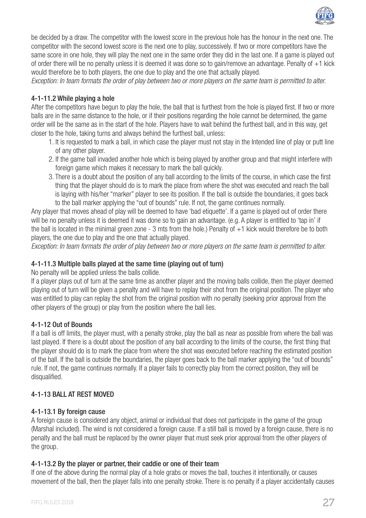

be decided by a draw. The competitor with the lowest score in the previous hole has the honour in the next one. The competitor with the second lowest score is the next one to play, successively. If two or more competitors have the same score in one hole, they will play the next one in the same order they did in the last one. If a game is played out of order there will be no penalty unless it is deemed it was done so to gain/remove an advantage. Penalty of +1 kick would therefore be to both players, the one due to play and the one that actually played.

*Exception: In team formats the order of play between two or more players on the same team is permitted to alter.*

## 4-1-11.2 While playing a hole

After the competitors have begun to play the hole, the ball that is furthest from the hole is played first. If two or more balls are in the same distance to the hole, or if their positions regarding the hole cannot be determined, the game order will be the same as in the start of the hole. Players have to wait behind the furthest ball, and in this way, get closer to the hole, taking turns and always behind the furthest ball, unless:

- 1. It is requested to mark a ball, in which case the player must not stay in the Intended line of play or putt line of any other player.
- 2. If the game ball invaded another hole which is being played by another group and that might interfere with foreign game which makes it necessary to mark the ball quickly.
- 3. There is a doubt about the position of any ball according to the limits of the course, in which case the first thing that the player should do is to mark the place from where the shot was executed and reach the ball is laying with his/her "marker" player to see its position. If the ball is outside the boundaries, it goes back to the ball marker applying the "out of bounds" rule. If not, the game continues normally.

Any player that moves ahead of play will be deemed to have 'bad etiquette'. If a game is played out of order there will be no penalty unless it is deemed it was done so to gain an advantage. (e.g. A player is entitled to 'tap in' if the ball is located in the minimal green zone - 3 mts from the hole.) Penalty of +1 kick would therefore be to both players, the one due to play and the one that actually played.

*Exception: In team formats the order of play between two or more players on the same team is permitted to alter.*

#### 4-1-11.3 Multiple balls played at the same time (playing out of turn)

No penalty will be applied unless the balls collide.

If a player plays out of turn at the same time as another player and the moving balls collide, then the player deemed playing out of turn will be given a penalty and will have to replay their shot from the original position. The player who was entitled to play can replay the shot from the original position with no penalty (seeking prior approval from the other players of the group) or play from the position where the ball lies.

#### 4-1-12 Out of Bounds

If a ball is off limits, the player must, with a penalty stroke, play the ball as near as possible from where the ball was last played. If there is a doubt about the position of any ball according to the limits of the course, the first thing that the player should do is to mark the place from where the shot was executed before reaching the estimated position of the ball. If the ball is outside the boundaries, the player goes back to the ball marker applying the "out of bounds" rule. If not, the game continues normally. If a player fails to correctly play from the correct position, they will be disqualified.

## 4-1-13 BALL AT REST MOVED

#### 4-1-13.1 By foreign cause

A foreign cause is considered any object, animal or individual that does not participate in the game of the group (Marshal included). The wind is not considered a foreign cause. If a still ball is moved by a foreign cause, there is no penalty and the ball must be replaced by the owner player that must seek prior approval from the other players of the group.

#### 4-1-13.2 By the player or partner, their caddie or one of their team

If one of the above during the normal play of a hole grabs or moves the ball, touches it intentionally, or causes movement of the ball, then the player falls into one penalty stroke. There is no penalty if a player accidentally causes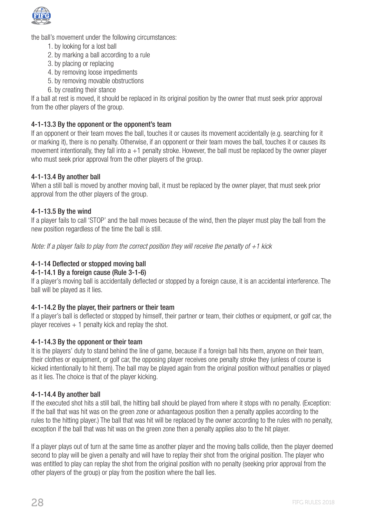

the ball's movement under the following circumstances:

- 1. by looking for a lost ball
- 2. by marking a ball according to a rule
- 3. by placing or replacing
- 4. by removing loose impediments
- 5. by removing movable obstructions
- 6. by creating their stance

If a ball at rest is moved, it should be replaced in its original position by the owner that must seek prior approval from the other players of the group.

## 4-1-13.3 By the opponent or the opponent's team

If an opponent or their team moves the ball, touches it or causes its movement accidentally (e.g. searching for it or marking it), there is no penalty. Otherwise, if an opponent or their team moves the ball, touches it or causes its movement intentionally, they fall into a +1 penalty stroke. However, the ball must be replaced by the owner player who must seek prior approval from the other players of the group.

## 4-1-13.4 By another ball

When a still ball is moved by another moving ball, it must be replaced by the owner player, that must seek prior approval from the other players of the group.

#### 4-1-13.5 By the wind

If a player fails to call 'STOP' and the ball moves because of the wind, then the player must play the ball from the new position regardless of the time the ball is still.

*Note: If a player fails to play from the correct position they will receive the penalty of +1 kick*

## 4-1-14 Deflected or stopped moving ball

## 4-1-14.1 By a foreign cause (Rule 3-1-6)

If a player's moving ball is accidentally deflected or stopped by a foreign cause, it is an accidental interference. The ball will be played as it lies.

#### 4-1-14.2 By the player, their partners or their team

If a player's ball is deflected or stopped by himself, their partner or team, their clothes or equipment, or golf car, the player receives  $+1$  penalty kick and replay the shot.

#### 4-1-14.3 By the opponent or their team

It is the players' duty to stand behind the line of game, because if a foreign ball hits them, anyone on their team, their clothes or equipment, or golf car, the opposing player receives one penalty stroke they (unless of course is kicked intentionally to hit them). The ball may be played again from the original position without penalties or played as it lies. The choice is that of the player kicking.

#### 4-1-14.4 By another ball

If the executed shot hits a still ball, the hitting ball should be played from where it stops with no penalty. (Exception: If the ball that was hit was on the green zone or advantageous position then a penalty applies according to the rules to the hitting player.) The ball that was hit will be replaced by the owner according to the rules with no penalty, exception if the ball that was hit was on the green zone then a penalty applies also to the hit player.

If a player plays out of turn at the same time as another player and the moving balls collide, then the player deemed second to play will be given a penalty and will have to replay their shot from the original position. The player who was entitled to play can replay the shot from the original position with no penalty (seeking prior approval from the other players of the group) or play from the position where the ball lies.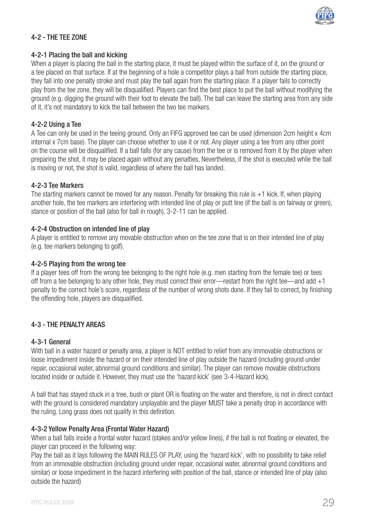

## 4-2 - THE TEE ZONE

#### 4-2-1 Placing the ball and kicking

When a player is placing the ball in the starting place, it must be played within the surface of it, on the ground or a tee placed on that surface. If at the beginning of a hole a competitor plays a ball from outside the starting place, they fall into one penalty stroke and must play the ball again from the starting place. If a player fails to correctly play from the tee zone, they will be disqualified. Players can find the best place to put the ball without modifying the ground (e.g. digging the ground with their foot to elevate the ball). The ball can leave the starting area from any side of it, it's not mandatory to kick the ball between the two tee markers.

#### 4-2-2 Using a Tee

A Tee can only be used in the teeing ground. Only an FIFG approved tee can be used (dimension 2cm height x 4cm internal x 7cm base). The player can choose whether to use it or not. Any player using a tee from any other point on the course will be disqualified. If a ball falls (for any cause) from the tee or is removed from it by the player when preparing the shot, it may be placed again without any penalties, Nevertheless, if the shot is executed while the ball is moving or not, the shot is valid, regardless of where the ball has landed.

#### 4-2-3 Tee Markers

The starting markers cannot be moved for any reason. Penalty for breaking this rule is +1 kick. If, when playing another hole, the tee markers are interfering with intended line of play or putt line (if the ball is on fairway or green), stance or position of the ball (also for ball in rough), 3-2-11 can be applied.

#### 4-2-4 Obstruction on intended line of play

A player is entitled to remove any movable obstruction when on the tee zone that is on their intended line of play (e.g. tee markers belonging to golf).

#### 4-2-5 Playing from the wrong tee

If a player tees off from the wrong tee belonging to the right hole (e.g. men starting from the female tee) or tees off from a tee belonging to any other hole, they must correct their error—restart from the right tee—and add +1 penalty to the correct hole's score, regardless of the number of wrong shots done. If they fail to correct, by finishing the offending hole, players are disqualified.

#### 4-3 - THE PENALTY AREAS

#### 4-3-1 General

With ball in a water hazard or penalty area, a player is NOT entitled to relief from any immovable obstructions or loose impediment inside the hazard or on their intended line of play outside the hazard (including ground under repair, occasional water, abnormal ground conditions and similar). The player can remove movable obstructions located inside or outside it. However, they must use the 'hazard kick' (see 3-4-Hazard kick).

A ball that has stayed stuck in a tree, bush or plant OR is floating on the water and therefore, is not in direct contact with the ground is considered mandatory unplayable and the player MUST take a penalty drop in accordance with the ruling. Long grass does not qualify in this definition.

#### 4-3-2 Yellow Penalty Area (Frontal Water Hazard)

When a ball falls inside a frontal water hazard (stakes and/or yellow lines), if the ball is not floating or elevated, the player can proceed in the following way:

Play the ball as it lays following the MAIN RULES OF PLAY, using the 'hazard kick', with no possibility to take relief from an immovable obstruction (including ground under repair, occasional water, abnormal ground conditions and similar) or loose impediment in the hazard interfering with position of the ball, stance or intended line of play (also outside the hazard)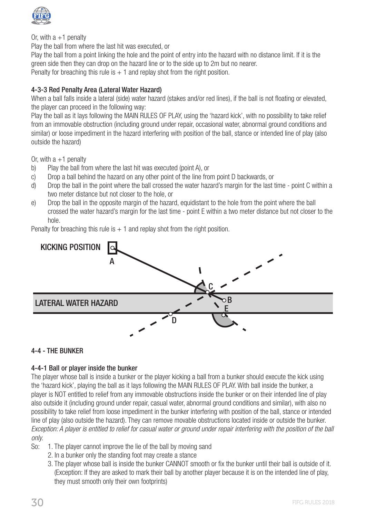

Or, with  $a + 1$  penalty

Play the ball from where the last hit was executed, or

Play the ball from a point linking the hole and the point of entry into the hazard with no distance limit. If it is the green side then they can drop on the hazard line or to the side up to 2m but no nearer.

Penalty for breaching this rule is  $+1$  and replay shot from the right position.

## 4-3-3 Red Penalty Area (Lateral Water Hazard)

When a ball falls inside a lateral (side) water hazard (stakes and/or red lines), if the ball is not floating or elevated, the player can proceed in the following way:

Play the ball as it lays following the MAIN RULES OF PLAY, using the 'hazard kick', with no possibility to take relief from an immovable obstruction (including ground under repair, occasional water, abnormal ground conditions and similar) or loose impediment in the hazard interfering with position of the ball, stance or intended line of play (also outside the hazard)

Or, with  $a + 1$  penalty

- b) Play the ball from where the last hit was executed (point A), or
- c) Drop a ball behind the hazard on any other point of the line from point D backwards, or
- d) Drop the ball in the point where the ball crossed the water hazard's margin for the last time point C within a two meter distance but not closer to the hole, or
- e) Drop the ball in the opposite margin of the hazard, equidistant to the hole from the point where the ball crossed the water hazard's margin for the last time - point E within a two meter distance but not closer to the hole.

Penalty for breaching this rule is  $+1$  and replay shot from the right position.



#### 4-4 - THE BUNKER

#### 4-4-1 Ball or player inside the bunker

The player whose ball is inside a bunker or the player kicking a ball from a bunker should execute the kick using the 'hazard kick', playing the ball as it lays following the MAIN RULES OF PLAY. With ball inside the bunker, a player is NOT entitled to relief from any immovable obstructions inside the bunker or on their intended line of play also outside it (including ground under repair, casual water, abnormal ground conditions and similar), with also no possibility to take relief from loose impediment in the bunker interfering with position of the ball, stance or intended line of play (also outside the hazard). They can remove movable obstructions located inside or outside the bunker. *Exception: A player is entitled to relief for casual water or ground under repair interfering with the position of the ball only.*

- So: 1. The player cannot improve the lie of the ball by moving sand
	- 2. In a bunker only the standing foot may create a stance
	- 3. The player whose ball is inside the bunker CANNOT smooth or fix the bunker until their ball is outside of it. (Exception: If they are asked to mark their ball by another player because it is on the intended line of play, they must smooth only their own footprints)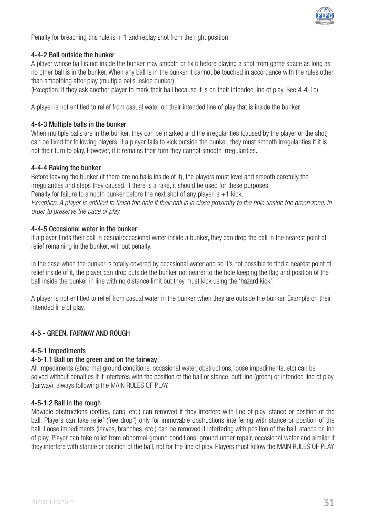

Penalty for breaching this rule is  $+1$  and replay shot from the right position.

#### 4-4-2 Ball outside the bunker

A player whose ball is not inside the bunker may smooth or fix it before playing a shot from game space as long as no other ball is in the bunker. When any ball is in the bunker it cannot be touched in accordance with the rules other than smoothing after play (multiple balls inside bunker).

(Exception: If they ask another player to mark their ball because it is on their intended line of play. See 4-4-1c)

A player is not entitled to relief from casual water on their intended line of play that is inside the bunker

#### 4-4-3 Multiple balls in the bunker

When multiple balls are in the bunker, they can be marked and the irregularities (caused by the player or the shot) can be fixed for following players. If a player fails to kick outside the bunker, they must smooth irregularities if it is not their turn to play. However, if it remains their turn they cannot smooth irregularities.

#### 4-4-4 Raking the bunker

Before leaving the bunker (if there are no balls inside of it), the players must level and smooth carefully the irregularities and steps they caused. If there is a rake, it should be used for these purposes. Penalty for failure to smooth bunker before the next shot of any player is  $+1$  kick.

*Exception: A player is entitled to finish the hole if their ball is in close proximity to the hole (inside the green zone) in order to preserve the pace of play.*

#### 4-4-5 Occasional water in the bunker

If a player finds their ball in casual/occasional water inside a bunker, they can drop the ball in the nearest point of relief remaining in the bunker, without penalty.

In the case when the bunker is totally covered by occasional water and so it's not possible to find a nearest point of relief inside of it, the player can drop outside the bunker not nearer to the hole keeping the flag and position of the ball inside the bunker in line with no distance limit but they must kick using the 'hazard kick'.

A player is not entitled to relief from casual water in the bunker when they are outside the bunker. Example on their intended line of play.

#### 4-5 - GREEN, FAIRWAY AND ROUGH

#### 4-5-1 Impediments

#### 4-5-1.1 Ball on the green and on the fairway

All impediments (abnormal ground conditions, occasional water, obstructions, loose impediments, etc) can be solved without penalties if it interferes with the position of the ball or stance, putt line (green) or intended line of play (fairway), always following the MAIN RULES OF PLAY.

#### 4-5-1.2 Ball in the rough

Movable obstructions (bottles, cans, etc.) can removed if they interfere with line of play, stance or position of the ball. Players can take relief (free drop") only for immovable obstructions interfering with stance or position of the ball. Loose impediments (leaves, branches, etc.) can be removed if interfering with position of the ball, stance or line of play. Player can take relief from abnormal ground conditions, ground under repair, occasional water and similar if they interfere with stance or position of the ball, not for the line of play. Players must follow the MAIN RULES OF PLAY.